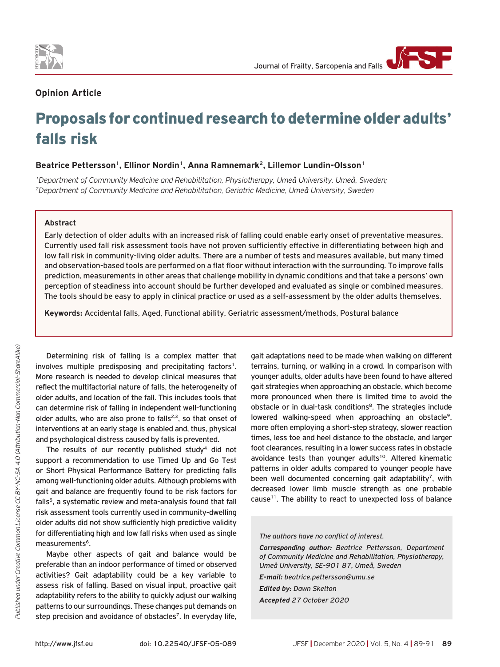

## **Opinion Article**

# Proposals for continued research to determine older adults' falls risk

## Beatrice Pettersson<sup>1</sup>, Ellinor Nordin<sup>1</sup>, Anna Ramnemark<sup>2</sup>, Lillemor Lundin-Olsson<sup>1</sup>

*1Department of Community Medicine and Rehabilitation, Physiotherapy, Umeå University, Umeå, Sweden; 2Department of Community Medicine and Rehabilitation, Geriatric Medicine, Umeå University, Sweden*

#### **Abstract**

Early detection of older adults with an increased risk of falling could enable early onset of preventative measures. Currently used fall risk assessment tools have not proven sufficiently effective in differentiating between high and low fall risk in community-living older adults. There are a number of tests and measures available, but many timed and observation-based tools are performed on a flat floor without interaction with the surrounding. To improve falls prediction, measurements in other areas that challenge mobility in dynamic conditions and that take a persons' own perception of steadiness into account should be further developed and evaluated as single or combined measures. The tools should be easy to apply in clinical practice or used as a self-assessment by the older adults themselves.

**Keywords:** Accidental falls, Aged, Functional ability, Geriatric assessment/methods, Postural balance

Determining risk of falling is a complex matter that involves multiple predisposing and precipitating factors<sup>1</sup>. More research is needed to develop clinical measures that reflect the multifactorial nature of falls, the heterogeneity of older adults, and location of the fall. This includes tools that can determine risk of falling in independent well-functioning older adults, who are also prone to falls<sup>2,3</sup>, so that onset of interventions at an early stage is enabled and, thus, physical and psychological distress caused by falls is prevented.

The results of our recently published study<sup>4</sup> did not support a recommendation to use Timed Up and Go Test or Short Physical Performance Battery for predicting falls among well-functioning older adults. Although problems with gait and balance are frequently found to be risk factors for falls<sup>5</sup>, a systematic review and meta-analysis found that fall risk assessment tools currently used in community-dwelling older adults did not show sufficiently high predictive validity for differentiating high and low fall risks when used as single measurements<sup>6</sup>.

Maybe other aspects of gait and balance would be preferable than an indoor performance of timed or observed activities? Gait adaptability could be a key variable to assess risk of falling. Based on visual input, proactive gait adaptability refers to the ability to quickly adjust our walking patterns to our surroundings. These changes put demands on step precision and avoidance of obstacles<sup>7</sup>. In everyday life,

gait adaptations need to be made when walking on different terrains, turning, or walking in a crowd. In comparison with younger adults, older adults have been found to have altered gait strategies when approaching an obstacle, which become more pronounced when there is limited time to avoid the obstacle or in dual-task conditions<sup>8</sup>. The strategies include lowered walking-speed when approaching an obstacle<sup>9</sup>, more often employing a short-step strategy, slower reaction times, less toe and heel distance to the obstacle, and larger foot clearances, resulting in a lower success rates in obstacle avoidance tests than younger adults<sup>10</sup>. Altered kinematic patterns in older adults compared to younger people have been well documented concerning gait adaptability<sup>7</sup>, with decreased lower limb muscle strength as one probable cause<sup>11</sup>. The ability to react to unexpected loss of balance

#### *The authors have no conflict of interest.*

*Corresponding author: Beatrice Pettersson, Department of Community Medicine and Rehabilitation, Physiotherapy, Umeå University, SE-901 87, Umeå, Sweden*

*E-mail: beatrice.pettersson@umu.se*

*Edited by: Dawn Skelton Accepted 27 October 2020*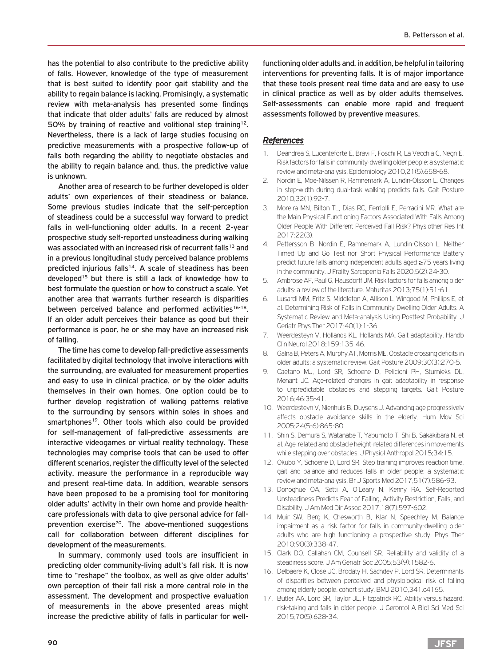has the potential to also contribute to the predictive ability of falls. However, knowledge of the type of measurement that is best suited to identify poor gait stability and the ability to regain balance is lacking. Promisingly, a systematic review with meta-analysis has presented some findings that indicate that older adults' falls are reduced by almost 50% by training of reactive and volitional step training<sup>12</sup>. Nevertheless, there is a lack of large studies focusing on predictive measurements with a prospective follow-up of falls both regarding the ability to negotiate obstacles and the ability to regain balance and, thus, the predictive value is unknown.

Another area of research to be further developed is older adults' own experiences of their steadiness or balance. Some previous studies indicate that the self-perception of steadiness could be a successful way forward to predict falls in well-functioning older adults. In a recent 2-year prospective study self-reported unsteadiness during walking was associated with an increased risk of recurrent falls<sup>13</sup> and in a previous longitudinal study perceived balance problems predicted injurious falls<sup>14</sup>. A scale of steadiness has been developed<sup>15</sup> but there is still a lack of knowledge how to best formulate the question or how to construct a scale. Yet another area that warrants further research is disparities between perceived balance and performed activities<sup>16-18</sup>. If an older adult perceives their balance as good but their performance is poor, he or she may have an increased risk of falling.

The time has come to develop fall-predictive assessments facilitated by digital technology that involve interactions with the surrounding, are evaluated for measurement properties and easy to use in clinical practice, or by the older adults themselves in their own homes. One option could be to further develop registration of walking patterns relative to the surrounding by sensors within soles in shoes and smartphones<sup>19</sup>. Other tools which also could be provided for self-management of fall-predictive assessments are interactive videogames or virtual reality technology. These technologies may comprise tools that can be used to offer different scenarios, register the difficulty level of the selected activity, measure the performance in a reproducible way and present real-time data. In addition, wearable sensors have been proposed to be a promising tool for monitoring older adults' activity in their own home and provide healthcare professionals with data to give personal advice for fallprevention exercise<sup>20</sup>. The above-mentioned suggestions call for collaboration between different disciplines for development of the measurements.

In summary, commonly used tools are insufficient in predicting older community-living adult's fall risk. It is now time to "reshape" the toolbox, as well as give older adults' own perception of their fall risk a more central role in the assessment. The development and prospective evaluation of measurements in the above presented areas might increase the predictive ability of falls in particular for wellfunctioning older adults and, in addition, be helpful in tailoring interventions for preventing falls. It is of major importance that these tools present real time data and are easy to use in clinical practice as well as by older adults themselves. Self-assessments can enable more rapid and frequent assessments followed by preventive measures.

### *References*

- 1. Deandrea S, Lucenteforte E, Bravi F, Foschi R, La Vecchia C, Negri E. Risk factors for falls in community-dwelling older people: a systematic review and meta-analysis. Epidemiology 2010;21(5):658-68.
- 2. Nordin E, Moe-Nilssen R, Ramnemark A, Lundin-Olsson L. Changes in step-width during dual-task walking predicts falls. Gait Posture 2010;32(1):92-7.
- 3. Moreira MN, Bilton TL, Dias RC, Ferriolli E, Perracini MR. What are the Main Physical Functioning Factors Associated With Falls Among Older People With Different Perceived Fall Risk? Physiother Res Int 2017;22(3).
- 4. Pettersson B, Nordin E, Ramnemark A, Lundin-Olsson L. Neither Timed Up and Go Test nor Short Physical Performance Battery predict future falls among independent adults aged ≥75 years living in the community. J Frailty Sarcopenia Falls 2020;5(2):24-30.
- 5. Ambrose AF, Paul G, Hausdorff JM. Risk factors for falls among older adults: a review of the literature. Maturitas 2013;75(1):51-61.
- 6. Lusardi MM, Fritz S, Middleton A, Allison L, Wingood M, Phillips E, et al. Determining Risk of Falls in Community Dwelling Older Adults: A Systematic Review and Meta-analysis Using Posttest Probability. J Geriatr Phys Ther 2017;40(1):1-36.
- 7. Weerdesteyn V, Hollands KL, Hollands MA. Gait adaptability. Handb Clin Neurol 2018;159:135-46.
- 8. Galna B, Peters A, Murphy AT, Morris ME. Obstacle crossing deficits in older adults: a systematic review. Gait Posture 2009;30(3):270-5.
- 9. Caetano MJ, Lord SR, Schoene D, Pelicioni PH, Sturnieks DL, Menant JC. Age-related changes in gait adaptability in response to unpredictable obstacles and stepping targets. Gait Posture 2016;46:35-41.
- 10. Weerdesteyn V, Nienhuis B, Duysens J. Advancing age progressively affects obstacle avoidance skills in the elderly. Hum Mov Sci 2005;24(5-6):865-80.
- 11. Shin S, Demura S, Watanabe T, Yabumoto T, Shi B, Sakakibara N, et al. Age-related and obstacle height-related differences in movements while stepping over obstacles. J Physiol Anthropol 2015;34:15.
- 12. Okubo Y, Schoene D, Lord SR. Step training improves reaction time, gait and balance and reduces falls in older people: a systematic review and meta-analysis. Br J Sports Med 2017;51(7):586-93.
- 13. Donoghue OA, Setti A, O'Leary N, Kenny RA. Self-Reported Unsteadiness Predicts Fear of Falling, Activity Restriction, Falls, and Disability. J Am Med Dir Assoc 2017;18(7):597-602.
- 14. Muir SW, Berg K, Chesworth B, Klar N, Speechley M. Balance impairment as a risk factor for falls in community-dwelling older adults who are high functioning: a prospective study. Phys Ther 2010;90(3):338-47.
- 15. Clark DO, Callahan CM, Counsell SR. Reliability and validity of a steadiness score. J Am Geriatr Soc 2005;53(9):1582-6.
- 16. Delbaere K, Close JC, Brodaty H, Sachdev P, Lord SR. Determinants of disparities between perceived and physiological risk of falling among elderly people: cohort study. BMJ 2010;341:c4165.
- 17. Butler AA, Lord SR, Taylor JL, Fitzpatrick RC. Ability versus hazard: risk-taking and falls in older people. J Gerontol A Biol Sci Med Sci 2015;70(5):628-34.